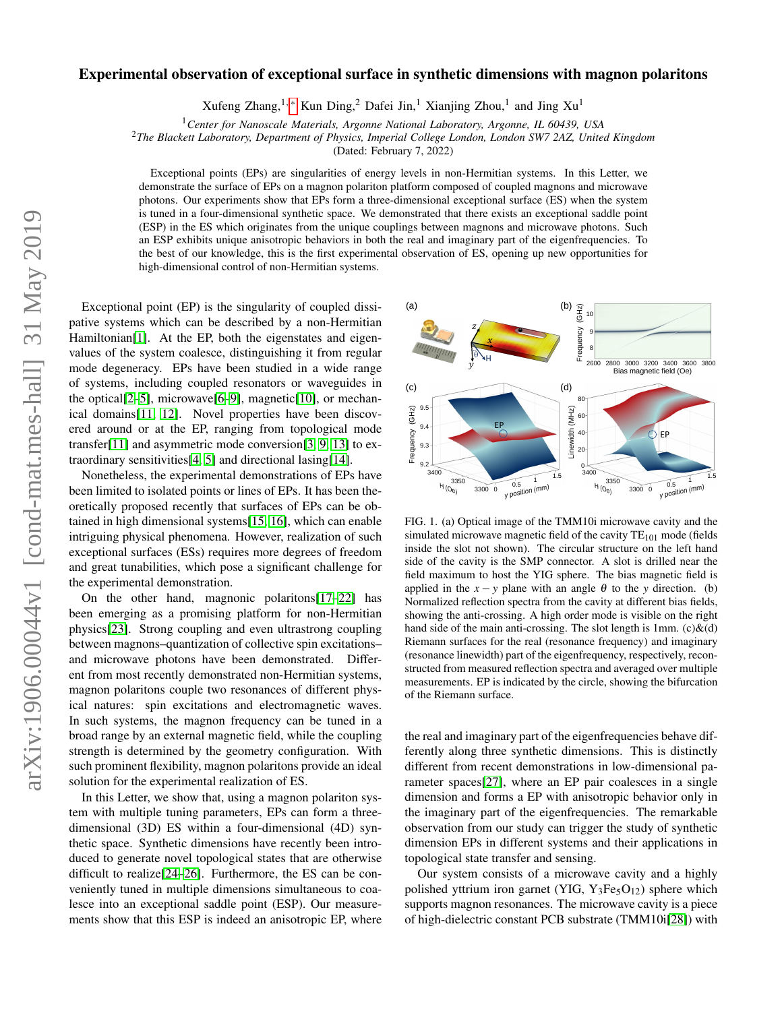# $arXiv:1906.00044v1$  [cond-mat.mes-hall] 31 May 2019 arXiv:1906.00044v1 [cond-mat.mes-hall] 31 May 2019

# Experimental observation of exceptional surface in synthetic dimensions with magnon polaritons

Xufeng Zhang,<sup>1,\*</sup> Kun Ding,<sup>2</sup> Dafei Jin,<sup>1</sup> Xianjing Zhou,<sup>1</sup> and Jing Xu<sup>1</sup>

<sup>1</sup>*Center for Nanoscale Materials, Argonne National Laboratory, Argonne, IL 60439, USA*

<sup>2</sup>*The Blackett Laboratory, Department of Physics, Imperial College London, London SW7 2AZ, United Kingdom*

(Dated: February 7, 2022)

Exceptional points (EPs) are singularities of energy levels in non-Hermitian systems. In this Letter, we demonstrate the surface of EPs on a magnon polariton platform composed of coupled magnons and microwave photons. Our experiments show that EPs form a three-dimensional exceptional surface (ES) when the system is tuned in a four-dimensional synthetic space. We demonstrated that there exists an exceptional saddle point (ESP) in the ES which originates from the unique couplings between magnons and microwave photons. Such an ESP exhibits unique anisotropic behaviors in both the real and imaginary part of the eigenfrequencies. To the best of our knowledge, this is the first experimental observation of ES, opening up new opportunities for high-dimensional control of non-Hermitian systems.

Exceptional point (EP) is the singularity of coupled dissipative systems which can be described by a non-Hermitian Hamiltonian[\[1\]](#page-4-1). At the EP, both the eigenstates and eigenvalues of the system coalesce, distinguishing it from regular mode degeneracy. EPs have been studied in a wide range of systems, including coupled resonators or waveguides in the optical[\[2–](#page-4-2)[5\]](#page-4-3), microwave[\[6–](#page-4-4)[9\]](#page-4-5), magnetic[\[10\]](#page-4-6), or mechanical domains[\[11,](#page-4-7) [12\]](#page-4-8). Novel properties have been discovered around or at the EP, ranging from topological mode transfer[\[11\]](#page-4-7) and asymmetric mode conversion[\[3,](#page-4-9) [9,](#page-4-5) [13\]](#page-4-10) to extraordinary sensitivities[\[4,](#page-4-11) [5\]](#page-4-3) and directional lasing[\[14\]](#page-4-12).

Nonetheless, the experimental demonstrations of EPs have been limited to isolated points or lines of EPs. It has been theoretically proposed recently that surfaces of EPs can be obtained in high dimensional systems[\[15,](#page-4-13) [16\]](#page-4-14), which can enable intriguing physical phenomena. However, realization of such exceptional surfaces (ESs) requires more degrees of freedom and great tunabilities, which pose a significant challenge for the experimental demonstration.

On the other hand, magnonic polaritons[\[17](#page-4-15)[–22\]](#page-4-16) has been emerging as a promising platform for non-Hermitian physics[\[23\]](#page-4-17). Strong coupling and even ultrastrong coupling between magnons–quantization of collective spin excitations– and microwave photons have been demonstrated. Different from most recently demonstrated non-Hermitian systems, magnon polaritons couple two resonances of different physical natures: spin excitations and electromagnetic waves. In such systems, the magnon frequency can be tuned in a broad range by an external magnetic field, while the coupling strength is determined by the geometry configuration. With such prominent flexibility, magnon polaritons provide an ideal solution for the experimental realization of ES.

In this Letter, we show that, using a magnon polariton system with multiple tuning parameters, EPs can form a threedimensional (3D) ES within a four-dimensional (4D) synthetic space. Synthetic dimensions have recently been introduced to generate novel topological states that are otherwise difficult to realize[\[24](#page-4-18)[–26\]](#page-4-19). Furthermore, the ES can be conveniently tuned in multiple dimensions simultaneous to coalesce into an exceptional saddle point (ESP). Our measurements show that this ESP is indeed an anisotropic EP, where



<span id="page-0-0"></span>FIG. 1. (a) Optical image of the TMM10i microwave cavity and the simulated microwave magnetic field of the cavity  $TE_{101}$  mode (fields inside the slot not shown). The circular structure on the left hand side of the cavity is the SMP connector. A slot is drilled near the field maximum to host the YIG sphere. The bias magnetic field is applied in the  $x - y$  plane with an angle  $\theta$  to the *y* direction. (b) Normalized reflection spectra from the cavity at different bias fields, showing the anti-crossing. A high order mode is visible on the right hand side of the main anti-crossing. The slot length is 1mm.  $(c)$ &(d) Riemann surfaces for the real (resonance frequency) and imaginary (resonance linewidth) part of the eigenfrequency, respectively, reconstructed from measured reflection spectra and averaged over multiple measurements. EP is indicated by the circle, showing the bifurcation of the Riemann surface.

the real and imaginary part of the eigenfrequencies behave differently along three synthetic dimensions. This is distinctly different from recent demonstrations in low-dimensional parameter spaces[\[27\]](#page-4-20), where an EP pair coalesces in a single dimension and forms a EP with anisotropic behavior only in the imaginary part of the eigenfrequencies. The remarkable observation from our study can trigger the study of synthetic dimension EPs in different systems and their applications in topological state transfer and sensing.

Our system consists of a microwave cavity and a highly polished yttrium iron garnet (YIG,  $Y_3Fe<sub>5</sub>O<sub>12</sub>$ ) sphere which supports magnon resonances. The microwave cavity is a piece of high-dielectric constant PCB substrate (TMM10i[\[28\]](#page-4-21)) with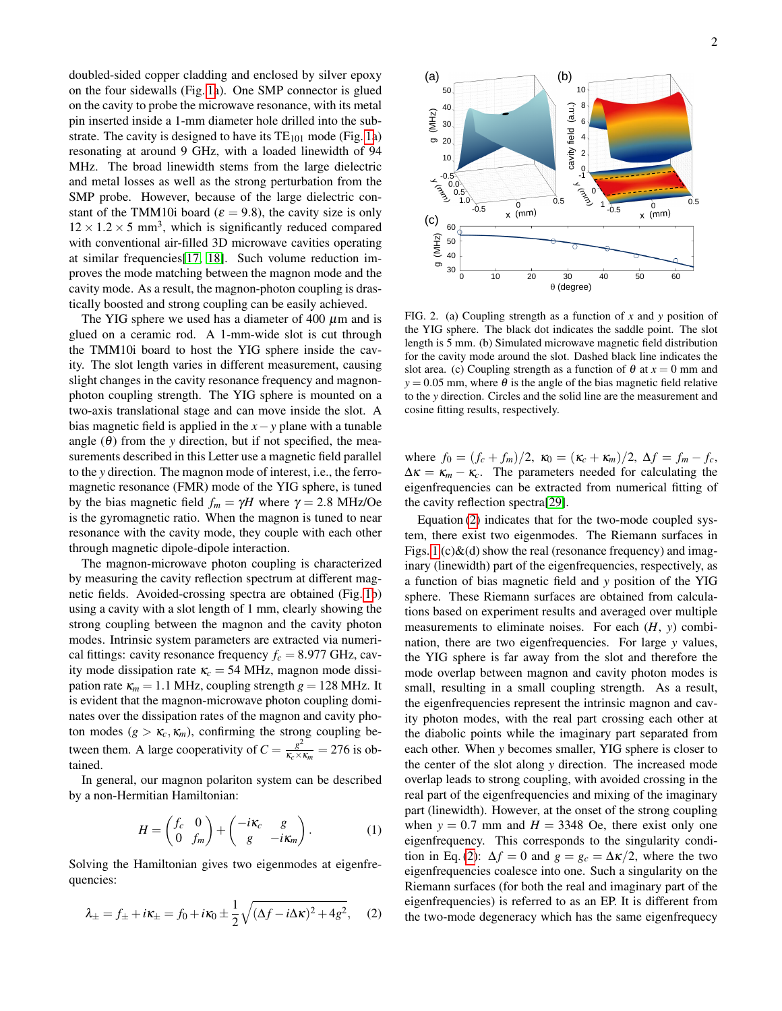doubled-sided copper cladding and enclosed by silver epoxy on the four sidewalls (Fig. [1a](#page-0-0)). One SMP connector is glued on the cavity to probe the microwave resonance, with its metal pin inserted inside a 1-mm diameter hole drilled into the substrate. The cavity is designed to have its  $TE_{101}$  mode (Fig. [1a](#page-0-0)) resonating at around 9 GHz, with a loaded linewidth of 94 MHz. The broad linewidth stems from the large dielectric and metal losses as well as the strong perturbation from the SMP probe. However, because of the large dielectric constant of the TMM10i board ( $\varepsilon = 9.8$ ), the cavity size is only  $12 \times 1.2 \times 5$  mm<sup>3</sup>, which is significantly reduced compared with conventional air-filled 3D microwave cavities operating at similar frequencies[\[17,](#page-4-15) [18\]](#page-4-22). Such volume reduction improves the mode matching between the magnon mode and the cavity mode. As a result, the magnon-photon coupling is drastically boosted and strong coupling can be easily achieved.

The YIG sphere we used has a diameter of 400  $\mu$ m and is glued on a ceramic rod. A 1-mm-wide slot is cut through the TMM10i board to host the YIG sphere inside the cavity. The slot length varies in different measurement, causing slight changes in the cavity resonance frequency and magnonphoton coupling strength. The YIG sphere is mounted on a two-axis translational stage and can move inside the slot. A bias magnetic field is applied in the *x*−*y* plane with a tunable angle  $(\theta)$  from the *y* direction, but if not specified, the measurements described in this Letter use a magnetic field parallel to the *y* direction. The magnon mode of interest, i.e., the ferromagnetic resonance (FMR) mode of the YIG sphere, is tuned by the bias magnetic field  $f_m = \gamma H$  where  $\gamma = 2.8$  MHz/Oe is the gyromagnetic ratio. When the magnon is tuned to near resonance with the cavity mode, they couple with each other through magnetic dipole-dipole interaction.

The magnon-microwave photon coupling is characterized by measuring the cavity reflection spectrum at different magnetic fields. Avoided-crossing spectra are obtained (Fig. [1b](#page-0-0)) using a cavity with a slot length of 1 mm, clearly showing the strong coupling between the magnon and the cavity photon modes. Intrinsic system parameters are extracted via numerical fittings: cavity resonance frequency  $f_c = 8.977$  GHz, cavity mode dissipation rate  $\kappa_c = 54 \text{ MHz}$ , magnon mode dissipation rate  $\kappa_m = 1.1$  MHz, coupling strength  $g = 128$  MHz. It is evident that the magnon-microwave photon coupling dominates over the dissipation rates of the magnon and cavity photon modes  $(g > \kappa_c, \kappa_m)$ , confirming the strong coupling between them. A large cooperativity of  $C = \frac{g^2}{K \sqrt{2}}$  $\frac{g^2}{\kappa_c \times \kappa_m}$  = 276 is obtained.

In general, our magnon polariton system can be described by a non-Hermitian Hamiltonian:

$$
H = \begin{pmatrix} f_c & 0 \\ 0 & f_m \end{pmatrix} + \begin{pmatrix} -i\kappa_c & g \\ g & -i\kappa_m \end{pmatrix}.
$$
 (1)

Solving the Hamiltonian gives two eigenmodes at eigenfrequencies:

<span id="page-1-0"></span>
$$
\lambda_{\pm} = f_{\pm} + i\kappa_{\pm} = f_0 + i\kappa_0 \pm \frac{1}{2} \sqrt{(\Delta f - i\Delta \kappa)^2 + 4g^2}, \quad (2)
$$



<span id="page-1-1"></span>FIG. 2. (a) Coupling strength as a function of *x* and *y* position of the YIG sphere. The black dot indicates the saddle point. The slot length is 5 mm. (b) Simulated microwave magnetic field distribution for the cavity mode around the slot. Dashed black line indicates the slot area. (c) Coupling strength as a function of  $\theta$  at  $x = 0$  mm and  $y = 0.05$  mm, where  $\theta$  is the angle of the bias magnetic field relative to the *y* direction. Circles and the solid line are the measurement and cosine fitting results, respectively.

where  $f_0 = (f_c + f_m)/2$ ,  $\kappa_0 = (\kappa_c + \kappa_m)/2$ ,  $\Delta f = f_m - f_c$ ,  $\Delta \kappa = \kappa_m - \kappa_c$ . The parameters needed for calculating the eigenfrequencies can be extracted from numerical fitting of the cavity reflection spectra[\[29\]](#page-4-23).

Equation [\(2\)](#page-1-0) indicates that for the two-mode coupled system, there exist two eigenmodes. The Riemann surfaces in Figs. [1](#page-0-0) (c) $\&$ (d) show the real (resonance frequency) and imaginary (linewidth) part of the eigenfrequencies, respectively, as a function of bias magnetic field and *y* position of the YIG sphere. These Riemann surfaces are obtained from calculations based on experiment results and averaged over multiple measurements to eliminate noises. For each (*H*, *y*) combination, there are two eigenfrequencies. For large *y* values, the YIG sphere is far away from the slot and therefore the mode overlap between magnon and cavity photon modes is small, resulting in a small coupling strength. As a result, the eigenfrequencies represent the intrinsic magnon and cavity photon modes, with the real part crossing each other at the diabolic points while the imaginary part separated from each other. When *y* becomes smaller, YIG sphere is closer to the center of the slot along *y* direction. The increased mode overlap leads to strong coupling, with avoided crossing in the real part of the eigenfrequencies and mixing of the imaginary part (linewidth). However, at the onset of the strong coupling when  $y = 0.7$  mm and  $H = 3348$  Oe, there exist only one eigenfrequency. This corresponds to the singularity condi-tion in Eq. [\(2\)](#page-1-0):  $\Delta f = 0$  and  $g = g_c = \Delta \kappa/2$ , where the two eigenfrequencies coalesce into one. Such a singularity on the Riemann surfaces (for both the real and imaginary part of the eigenfrequencies) is referred to as an EP. It is different from the two-mode degeneracy which has the same eigenfrequecy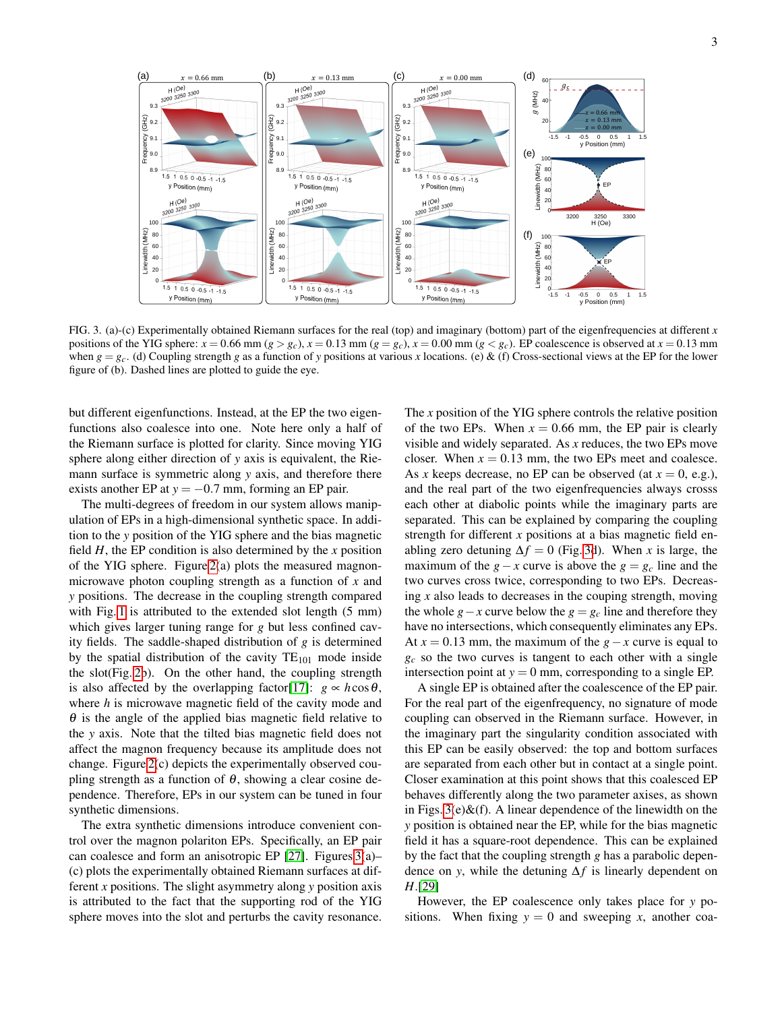

<span id="page-2-0"></span>FIG. 3. (a)-(c) Experimentally obtained Riemann surfaces for the real (top) and imaginary (bottom) part of the eigenfrequencies at different *x* positions of the YIG sphere:  $x = 0.66$  mm ( $g > g_c$ ),  $x = 0.13$  mm ( $g = g_c$ ),  $x = 0.00$  mm ( $g < g_c$ ). EP coalescence is observed at  $x = 0.13$  mm when  $g = g_c$ . (d) Coupling strength *g* as a function of *y* positions at various *x* locations. (e) & (f) Cross-sectional views at the EP for the lower figure of (b). Dashed lines are plotted to guide the eye.

but different eigenfunctions. Instead, at the EP the two eigenfunctions also coalesce into one. Note here only a half of the Riemann surface is plotted for clarity. Since moving YIG sphere along either direction of *y* axis is equivalent, the Riemann surface is symmetric along *y* axis, and therefore there exists another EP at  $y = -0.7$  mm, forming an EP pair.

The multi-degrees of freedom in our system allows manipulation of EPs in a high-dimensional synthetic space. In addition to the *y* position of the YIG sphere and the bias magnetic field  $H$ , the EP condition is also determined by the  $x$  position of the YIG sphere. Figure [2\(](#page-1-1)a) plots the measured magnonmicrowave photon coupling strength as a function of *x* and *y* positions. The decrease in the coupling strength compared with Fig. [1](#page-0-0) is attributed to the extended slot length (5 mm) which gives larger tuning range for *g* but less confined cavity fields. The saddle-shaped distribution of *g* is determined by the spatial distribution of the cavity  $TE_{101}$  mode inside the slot(Fig. [2b](#page-1-1)). On the other hand, the coupling strength is also affected by the overlapping factor[\[17\]](#page-4-15):  $g \propto h \cos \theta$ , where *h* is microwave magnetic field of the cavity mode and  $\theta$  is the angle of the applied bias magnetic field relative to the *y* axis. Note that the tilted bias magnetic field does not affect the magnon frequency because its amplitude does not change. Figure [2\(](#page-1-1)c) depicts the experimentally observed coupling strength as a function of  $\theta$ , showing a clear cosine dependence. Therefore, EPs in our system can be tuned in four synthetic dimensions.

The extra synthetic dimensions introduce convenient control over the magnon polariton EPs. Specifically, an EP pair can coalesce and form an anisotropic EP [\[27\]](#page-4-20). Figures [3\(](#page-2-0)a)– (c) plots the experimentally obtained Riemann surfaces at different *x* positions. The slight asymmetry along *y* position axis is attributed to the fact that the supporting rod of the YIG sphere moves into the slot and perturbs the cavity resonance.

The *x* position of the YIG sphere controls the relative position of the two EPs. When  $x = 0.66$  mm, the EP pair is clearly visible and widely separated. As *x* reduces, the two EPs move closer. When  $x = 0.13$  mm, the two EPs meet and coalesce. As *x* keeps decrease, no EP can be observed (at  $x = 0$ , e.g.), and the real part of the two eigenfrequencies always crosss each other at diabolic points while the imaginary parts are separated. This can be explained by comparing the coupling strength for different *x* positions at a bias magnetic field enabling zero detuning  $\Delta f = 0$  (Fig. [3d](#page-2-0)). When *x* is large, the maximum of the *g*−*x* curve is above the *g* =  $g_c$  line and the two curves cross twice, corresponding to two EPs. Decreasing *x* also leads to decreases in the couping strength, moving the whole  $g - x$  curve below the  $g = g_c$  line and therefore they have no intersections, which consequently eliminates any EPs. At  $x = 0.13$  mm, the maximum of the  $g - x$  curve is equal to  $g_c$  so the two curves is tangent to each other with a single intersection point at  $y = 0$  mm, corresponding to a single EP.

A single EP is obtained after the coalescence of the EP pair. For the real part of the eigenfrequency, no signature of mode coupling can observed in the Riemann surface. However, in the imaginary part the singularity condition associated with this EP can be easily observed: the top and bottom surfaces are separated from each other but in contact at a single point. Closer examination at this point shows that this coalesced EP behaves differently along the two parameter axises, as shown in Figs.  $3(e)$ &(f). A linear dependence of the linewidth on the *y* position is obtained near the EP, while for the bias magnetic field it has a square-root dependence. This can be explained by the fact that the coupling strength *g* has a parabolic dependence on *y*, while the detuning ∆*f* is linearly dependent on *H*.[\[29\]](#page-4-23)

However, the EP coalescence only takes place for *y* positions. When fixing  $y = 0$  and sweeping x, another coa-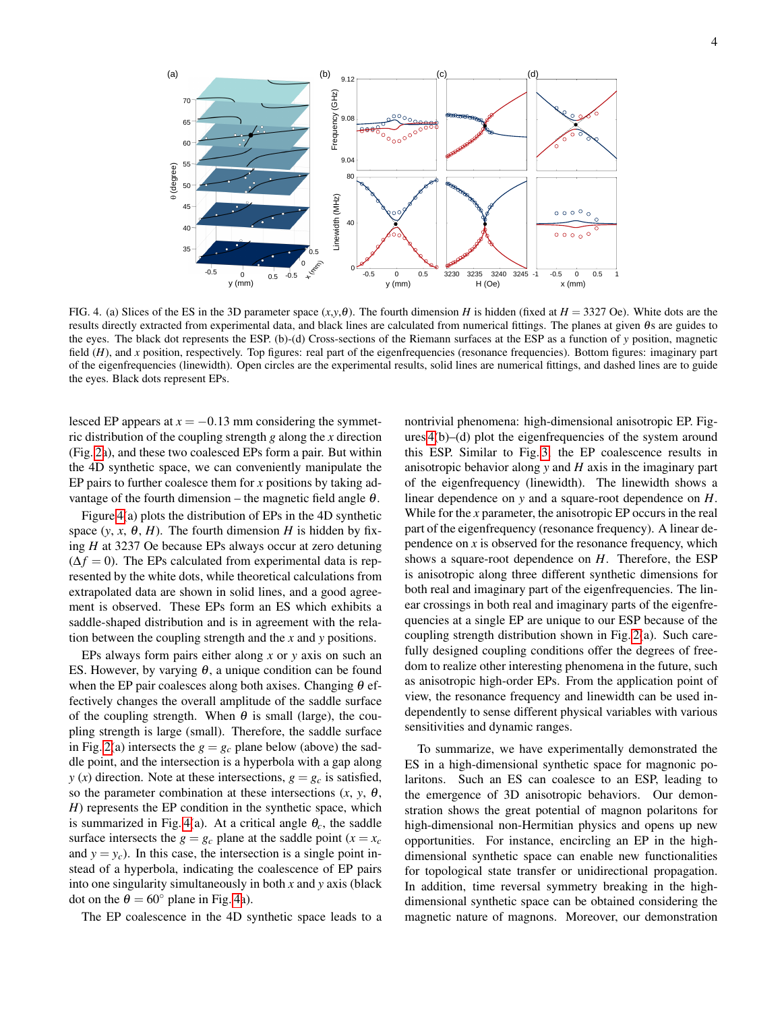

<span id="page-3-0"></span>FIG. 4. (a) Slices of the ES in the 3D parameter space (*x*,*y*,θ). The fourth dimension *H* is hidden (fixed at *H* = 3327 Oe). White dots are the results directly extracted from experimental data, and black lines are calculated from numerical fittings. The planes at given  $\theta$ s are guides to the eyes. The black dot represents the ESP. (b)-(d) Cross-sections of the Riemann surfaces at the ESP as a function of *y* position, magnetic field (*H*), and *x* position, respectively. Top figures: real part of the eigenfrequencies (resonance frequencies). Bottom figures: imaginary part of the eigenfrequencies (linewidth). Open circles are the experimental results, solid lines are numerical fittings, and dashed lines are to guide the eyes. Black dots represent EPs.

lesced EP appears at  $x = -0.13$  mm considering the symmetric distribution of the coupling strength *g* along the *x* direction (Fig. [2a](#page-1-1)), and these two coalesced EPs form a pair. But within the 4D synthetic space, we can conveniently manipulate the EP pairs to further coalesce them for *x* positions by taking advantage of the fourth dimension – the magnetic field angle  $\theta$ .

Figure [4\(](#page-3-0)a) plots the distribution of EPs in the 4D synthetic space  $(y, x, \theta, H)$ . The fourth dimension *H* is hidden by fixing *H* at 3237 Oe because EPs always occur at zero detuning  $(\Delta f = 0)$ . The EPs calculated from experimental data is represented by the white dots, while theoretical calculations from extrapolated data are shown in solid lines, and a good agreement is observed. These EPs form an ES which exhibits a saddle-shaped distribution and is in agreement with the relation between the coupling strength and the *x* and *y* positions.

EPs always form pairs either along *x* or *y* axis on such an ES. However, by varying  $\theta$ , a unique condition can be found when the EP pair coalesces along both axises. Changing  $\theta$  effectively changes the overall amplitude of the saddle surface of the coupling strength. When  $\theta$  is small (large), the coupling strength is large (small). Therefore, the saddle surface in Fig. [2\(](#page-1-1)a) intersects the  $g = g_c$  plane below (above) the saddle point, and the intersection is a hyperbola with a gap along *y* (*x*) direction. Note at these intersections,  $g = g_c$  is satisfied, so the parameter combination at these intersections  $(x, y, \theta)$ , *H*) represents the EP condition in the synthetic space, which is summarized in Fig. [4\(](#page-3-0)a). At a critical angle  $\theta_c$ , the saddle surface intersects the  $g = g_c$  plane at the saddle point ( $x = x_c$ and  $y = y_c$ ). In this case, the intersection is a single point instead of a hyperbola, indicating the coalescence of EP pairs into one singularity simultaneously in both *x* and *y* axis (black dot on the  $\theta = 60^\circ$  plane in Fig. [4a](#page-3-0)).

The EP coalescence in the 4D synthetic space leads to a

nontrivial phenomena: high-dimensional anisotropic EP. Figures [4\(](#page-3-0)b)–(d) plot the eigenfrequencies of the system around this ESP. Similar to Fig. [3,](#page-2-0) the EP coalescence results in anisotropic behavior along *y* and *H* axis in the imaginary part of the eigenfrequency (linewidth). The linewidth shows a linear dependence on *y* and a square-root dependence on *H*. While for the *x* parameter, the anisotropic EP occurs in the real part of the eigenfrequency (resonance frequency). A linear dependence on *x* is observed for the resonance frequency, which shows a square-root dependence on *H*. Therefore, the ESP is anisotropic along three different synthetic dimensions for both real and imaginary part of the eigenfrequencies. The linear crossings in both real and imaginary parts of the eigenfrequencies at a single EP are unique to our ESP because of the coupling strength distribution shown in Fig. [2\(](#page-1-1)a). Such carefully designed coupling conditions offer the degrees of freedom to realize other interesting phenomena in the future, such as anisotropic high-order EPs. From the application point of view, the resonance frequency and linewidth can be used independently to sense different physical variables with various sensitivities and dynamic ranges.

To summarize, we have experimentally demonstrated the ES in a high-dimensional synthetic space for magnonic polaritons. Such an ES can coalesce to an ESP, leading to the emergence of 3D anisotropic behaviors. Our demonstration shows the great potential of magnon polaritons for high-dimensional non-Hermitian physics and opens up new opportunities. For instance, encircling an EP in the highdimensional synthetic space can enable new functionalities for topological state transfer or unidirectional propagation. In addition, time reversal symmetry breaking in the highdimensional synthetic space can be obtained considering the magnetic nature of magnons. Moreover, our demonstration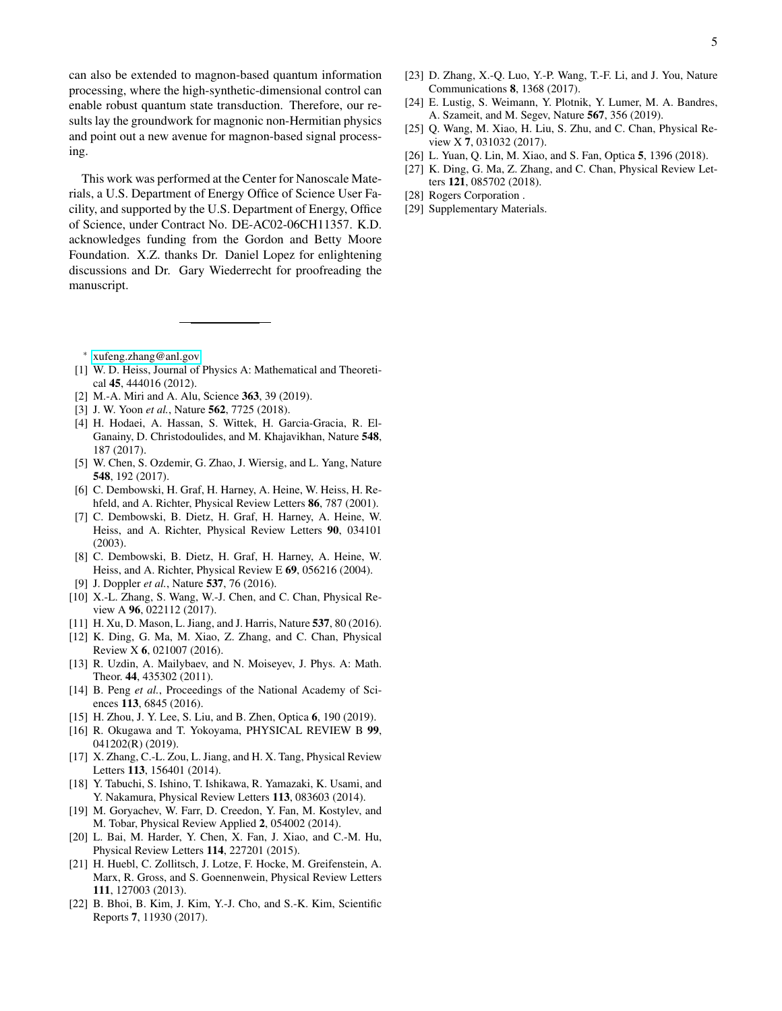can also be extended to magnon-based quantum information processing, where the high-synthetic-dimensional control can enable robust quantum state transduction. Therefore, our results lay the groundwork for magnonic non-Hermitian physics and point out a new avenue for magnon-based signal processing.

This work was performed at the Center for Nanoscale Materials, a U.S. Department of Energy Office of Science User Facility, and supported by the U.S. Department of Energy, Office of Science, under Contract No. DE-AC02-06CH11357. K.D. acknowledges funding from the Gordon and Betty Moore Foundation. X.Z. thanks Dr. Daniel Lopez for enlightening discussions and Dr. Gary Wiederrecht for proofreading the manuscript.

- <span id="page-4-0"></span><sup>∗</sup> [xufeng.zhang@anl.gov](mailto:xufeng.zhang@anl.gov)
- <span id="page-4-1"></span>[1] W. D. Heiss, Journal of Physics A: Mathematical and Theoretical 45, 444016 (2012).
- <span id="page-4-2"></span>[2] M.-A. Miri and A. Alu, Science 363, 39 (2019).
- <span id="page-4-9"></span>[3] J. W. Yoon *et al.*, Nature 562, 7725 (2018).
- <span id="page-4-11"></span>[4] H. Hodaei, A. Hassan, S. Wittek, H. Garcia-Gracia, R. El-Ganainy, D. Christodoulides, and M. Khajavikhan, Nature 548, 187 (2017).
- <span id="page-4-3"></span>[5] W. Chen, S. Ozdemir, G. Zhao, J. Wiersig, and L. Yang, Nature 548, 192 (2017).
- <span id="page-4-4"></span>[6] C. Dembowski, H. Graf, H. Harney, A. Heine, W. Heiss, H. Rehfeld, and A. Richter, Physical Review Letters 86, 787 (2001).
- [7] C. Dembowski, B. Dietz, H. Graf, H. Harney, A. Heine, W. Heiss, and A. Richter, Physical Review Letters 90, 034101 (2003).
- [8] C. Dembowski, B. Dietz, H. Graf, H. Harney, A. Heine, W. Heiss, and A. Richter, Physical Review E 69, 056216 (2004).
- <span id="page-4-5"></span>[9] J. Doppler *et al.*, Nature 537, 76 (2016).
- <span id="page-4-6"></span>[10] X.-L. Zhang, S. Wang, W.-J. Chen, and C. Chan, Physical Review A 96, 022112 (2017).
- <span id="page-4-7"></span>[11] H. Xu, D. Mason, L. Jiang, and J. Harris, Nature 537, 80 (2016).
- <span id="page-4-8"></span>[12] K. Ding, G. Ma, M. Xiao, Z. Zhang, and C. Chan, Physical Review X 6, 021007 (2016).
- <span id="page-4-10"></span>[13] R. Uzdin, A. Mailybaev, and N. Moiseyev, J. Phys. A: Math. Theor. 44, 435302 (2011).
- <span id="page-4-12"></span>[14] B. Peng *et al.*, Proceedings of the National Academy of Sciences 113, 6845 (2016).
- <span id="page-4-13"></span>[15] H. Zhou, J. Y. Lee, S. Liu, and B. Zhen, Optica 6, 190 (2019).
- <span id="page-4-14"></span>[16] R. Okugawa and T. Yokoyama, PHYSICAL REVIEW B 99, 041202(R) (2019).
- <span id="page-4-15"></span>[17] X. Zhang, C.-L. Zou, L. Jiang, and H. X. Tang, Physical Review Letters 113, 156401 (2014).
- <span id="page-4-22"></span>[18] Y. Tabuchi, S. Ishino, T. Ishikawa, R. Yamazaki, K. Usami, and Y. Nakamura, Physical Review Letters 113, 083603 (2014).
- [19] M. Goryachev, W. Farr, D. Creedon, Y. Fan, M. Kostylev, and M. Tobar, Physical Review Applied 2, 054002 (2014).
- [20] L. Bai, M. Harder, Y. Chen, X. Fan, J. Xiao, and C.-M. Hu, Physical Review Letters 114, 227201 (2015).
- [21] H. Huebl, C. Zollitsch, J. Lotze, F. Hocke, M. Greifenstein, A. Marx, R. Gross, and S. Goennenwein, Physical Review Letters 111, 127003 (2013).
- <span id="page-4-16"></span>[22] B. Bhoi, B. Kim, J. Kim, Y.-J. Cho, and S.-K. Kim, Scientific Reports 7, 11930 (2017).
- <span id="page-4-17"></span>[23] D. Zhang, X.-Q. Luo, Y.-P. Wang, T.-F. Li, and J. You, Nature Communications 8, 1368 (2017).
- <span id="page-4-18"></span>[24] E. Lustig, S. Weimann, Y. Plotnik, Y. Lumer, M. A. Bandres, A. Szameit, and M. Segev, Nature 567, 356 (2019).
- [25] Q. Wang, M. Xiao, H. Liu, S. Zhu, and C. Chan, Physical Review X 7, 031032 (2017).
- <span id="page-4-19"></span>[26] L. Yuan, Q. Lin, M. Xiao, and S. Fan, Optica 5, 1396 (2018).
- <span id="page-4-20"></span>[27] K. Ding, G. Ma, Z. Zhang, and C. Chan, Physical Review Letters 121, 085702 (2018).
- <span id="page-4-21"></span>[28] Rogers Corporation.
- <span id="page-4-23"></span>[29] Supplementary Materials.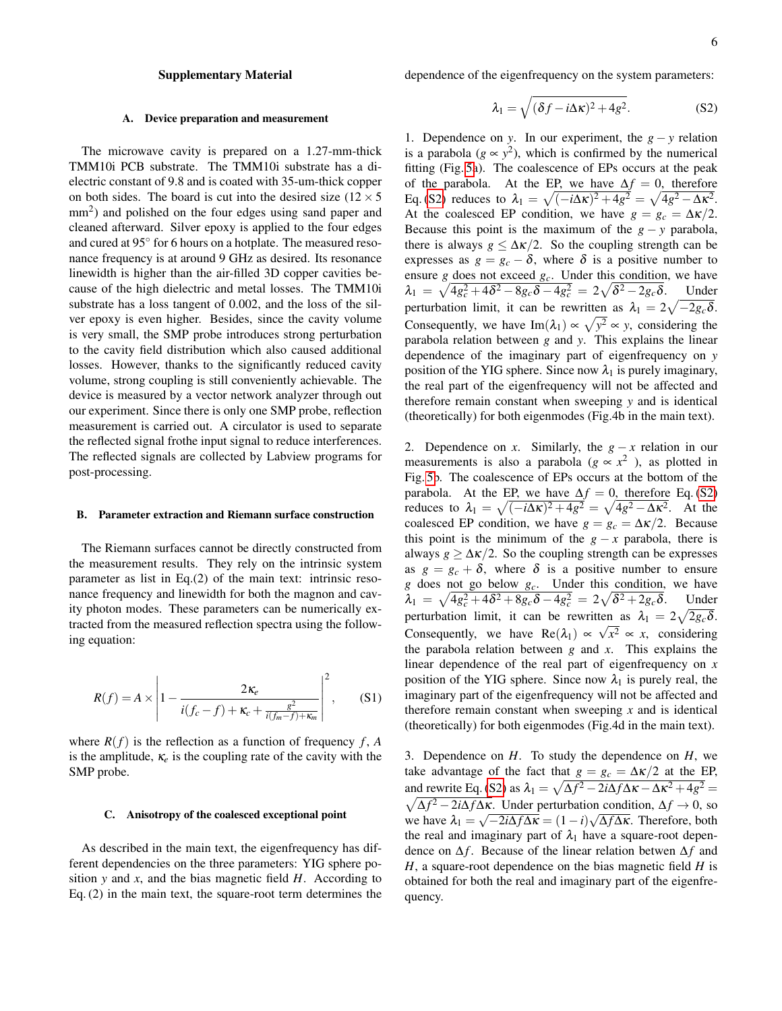# Supplementary Material

# A. Device preparation and measurement

The microwave cavity is prepared on a 1.27-mm-thick TMM10i PCB substrate. The TMM10i substrate has a dielectric constant of 9.8 and is coated with 35-um-thick copper on both sides. The board is cut into the desired size  $(12 \times 5)$ mm<sup>2</sup>) and polished on the four edges using sand paper and cleaned afterward. Silver epoxy is applied to the four edges and cured at 95° for 6 hours on a hotplate. The measured resonance frequency is at around 9 GHz as desired. Its resonance linewidth is higher than the air-filled 3D copper cavities because of the high dielectric and metal losses. The TMM10i substrate has a loss tangent of 0.002, and the loss of the silver epoxy is even higher. Besides, since the cavity volume is very small, the SMP probe introduces strong perturbation to the cavity field distribution which also caused additional losses. However, thanks to the significantly reduced cavity volume, strong coupling is still conveniently achievable. The device is measured by a vector network analyzer through out our experiment. Since there is only one SMP probe, reflection measurement is carried out. A circulator is used to separate the reflected signal frothe input signal to reduce interferences. The reflected signals are collected by Labview programs for post-processing.

### B. Parameter extraction and Riemann surface construction

The Riemann surfaces cannot be directly constructed from the measurement results. They rely on the intrinsic system parameter as list in Eq.(2) of the main text: intrinsic resonance frequency and linewidth for both the magnon and cavity photon modes. These parameters can be numerically extracted from the measured reflection spectra using the following equation:

$$
R(f) = A \times \left| 1 - \frac{2\kappa_e}{i(f_c - f) + \kappa_c + \frac{g^2}{i(f_m - f) + \kappa_m}} \right|^2, \quad (S1)
$$

where  $R(f)$  is the reflection as a function of frequency  $f$ ,  $A$ is the amplitude,  $\kappa_e$  is the coupling rate of the cavity with the SMP probe.

### C. Anisotropy of the coalesced exceptional point

As described in the main text, the eigenfrequency has different dependencies on the three parameters: YIG sphere position *y* and *x*, and the bias magnetic field *H*. According to Eq. (2) in the main text, the square-root term determines the dependence of the eigenfrequency on the system parameters:

<span id="page-5-0"></span>
$$
\lambda_1 = \sqrt{(\delta f - i\Delta \kappa)^2 + 4g^2}.
$$
 (S2)

1. Dependence on *y*. In our experiment, the  $g - y$  relation is a parabola ( $g \propto y^2$ ), which is confirmed by the numerical fitting (Fig. [5a](#page-6-0)). The coalescence of EPs occurs at the peak of the parabola. At the EP, we have  $\Delta f = 0$ , therefore Eq. [\(S2\)](#page-5-0) reduces to  $\lambda_1 = \sqrt{(-i\Delta\kappa)^2 + 4g^2} = \sqrt{4g^2 - \Delta\kappa^2}$ . At the coalesced EP condition, we have  $g = g_c = \Delta \kappa/2$ . Because this point is the maximum of the  $g - y$  parabola, there is always  $g \leq \Delta \kappa/2$ . So the coupling strength can be expresses as  $g = g_c - \delta$ , where  $\delta$  is a positive number to ensure  $g$  does not exceed  $g_c$ . Under this condition, we have  $\lambda_1 = \sqrt{4g_c^2 + 4\delta^2 - 8g_c\delta - 4g_c^2} = 2\sqrt{\delta^2 - 2g_c\delta}$ . Under perturbation limit, it can be rewritten as  $\lambda_1 = 2\sqrt{-2g_c\delta}$ . Consequently, we have  $\text{Im}(\lambda_1) \propto \sqrt{y^2} \propto y$ , considering the parabola relation between *g* and *y*. This explains the linear dependence of the imaginary part of eigenfrequency on *y* position of the YIG sphere. Since now  $\lambda_1$  is purely imaginary, the real part of the eigenfrequency will not be affected and therefore remain constant when sweeping *y* and is identical (theoretically) for both eigenmodes (Fig.4b in the main text).

2. Dependence on *x*. Similarly, the  $g - x$  relation in our measurements is also a parabola ( $g \propto x^2$ ), as plotted in Fig. [5b](#page-6-0). The coalescence of EPs occurs at the bottom of the parabola. At the EP, we have  $\Delta f = 0$ , therefore Eq. [\(S2\)](#page-5-0) reduces to  $\lambda_1 = \sqrt{(-i\Delta\kappa)^2 + 4g^2} = \sqrt{4g^2 - \Delta\kappa^2}$ . At the coalesced EP condition, we have  $g = g_c = \Delta \kappa/2$ . Because this point is the minimum of the  $g - x$  parabola, there is always  $g \ge \Delta \kappa/2$ . So the coupling strength can be expresses as  $g = g_c + \delta$ , where  $\delta$  is a positive number to ensure *g* does not go below *gc*. Under this condition, we have  $\lambda_1 = \sqrt{4g_c^2 + 4\delta^2 + 8g_c\delta - 4g_c^2} = 2\sqrt{\delta^2 + 2g_c\delta}.$  Under perturbation limit, it can be rewritten as  $\lambda_1 = 2\sqrt{2g_c\delta}$ . Consequently, we have  $\text{Re}(\lambda_1) \propto \sqrt{x^2} \propto x$ , considering the parabola relation between *g* and *x*. This explains the linear dependence of the real part of eigenfrequency on *x* position of the YIG sphere. Since now  $\lambda_1$  is purely real, the imaginary part of the eigenfrequency will not be affected and therefore remain constant when sweeping *x* and is identical (theoretically) for both eigenmodes (Fig.4d in the main text).

3. Dependence on *H*. To study the dependence on *H*, we take advantage of the fact that  $g = g_c = \Delta \kappa/2$  at the EP, and rewrite Eq. [\(S2\)](#page-5-0) as  $\lambda_1 = \sqrt{\Delta f^2 - 2i\Delta f \Delta \kappa - \Delta \kappa^2 + 4g^2}$  =  $\sqrt{\Delta f^2 - 2i\Delta f \Delta \kappa}$ . Under perturbation condition,  $\Delta f \to 0$ , so we have  $\lambda_1 = \sqrt{-2i\Delta f \Delta \kappa} = (1 - i)\sqrt{\Delta f \Delta \kappa}$ . Therefore, both the real and imaginary part of  $\lambda_1$  have a square-root dependence on ∆*f* . Because of the linear relation betwen ∆*f* and *H*, a square-root dependence on the bias magnetic field *H* is obtained for both the real and imaginary part of the eigenfrequency.